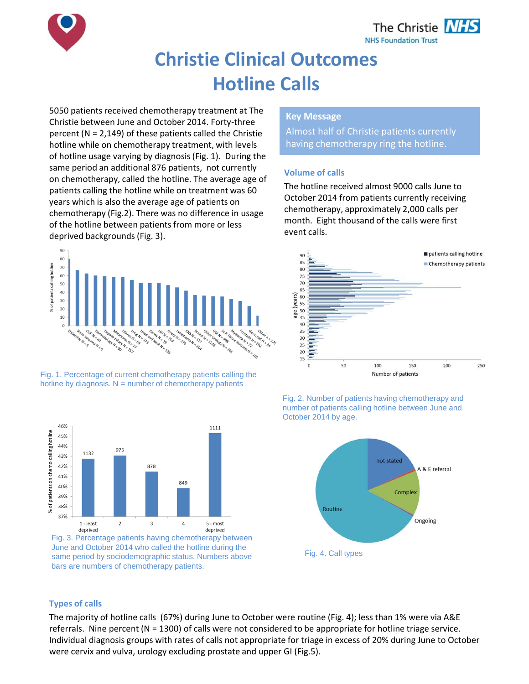

# **Christie Clinical Outcomes Hotline Calls**

5050 patients received chemotherapy treatment at The Christie between June and October 2014. Forty-three percent (N = 2,149) of these patients called the Christie hotline while on chemotherapy treatment, with levels of hotline usage varying by diagnosis (Fig. 1). During the same period an additional 876 patients, not currently on chemotherapy, called the hotline. The average age of patients calling the hotline while on treatment was 60 years which is also the average age of patients on chemotherapy (Fig.2). There was no difference in usage of the hotline between patients from more or less deprived backgrounds (Fig. 3).



Fig. 1. Percentage of current chemotherapy patients calling the hotline by diagnosis.  $N =$  number of chemotherapy patients



Fig. 3. Percentage patients having chemotherapy between June and October 2014 who called the hotline during the same period by sociodemographic status. Numbers above bars are numbers of chemotherapy patients.

## **Key Message**

Almost half of Christie patients currently having chemotherapy ring the hotline.

### **Volume of calls**

The hotline received almost 9000 calls June to October 2014 from patients currently receiving chemotherapy, approximately 2,000 calls per month. Eight thousand of the calls were first event calls.







#### **Types of calls**

The majority of hotline calls (67%) during June to October were routine (Fig. 4); less than 1% were via A&E referrals. Nine percent (N = 1300) of calls were not considered to be appropriate for hotline triage service. Individual diagnosis groups with rates of calls not appropriate for triage in excess of 20% during June to October were cervix and vulva, urology excluding prostate and upper GI (Fig.5).